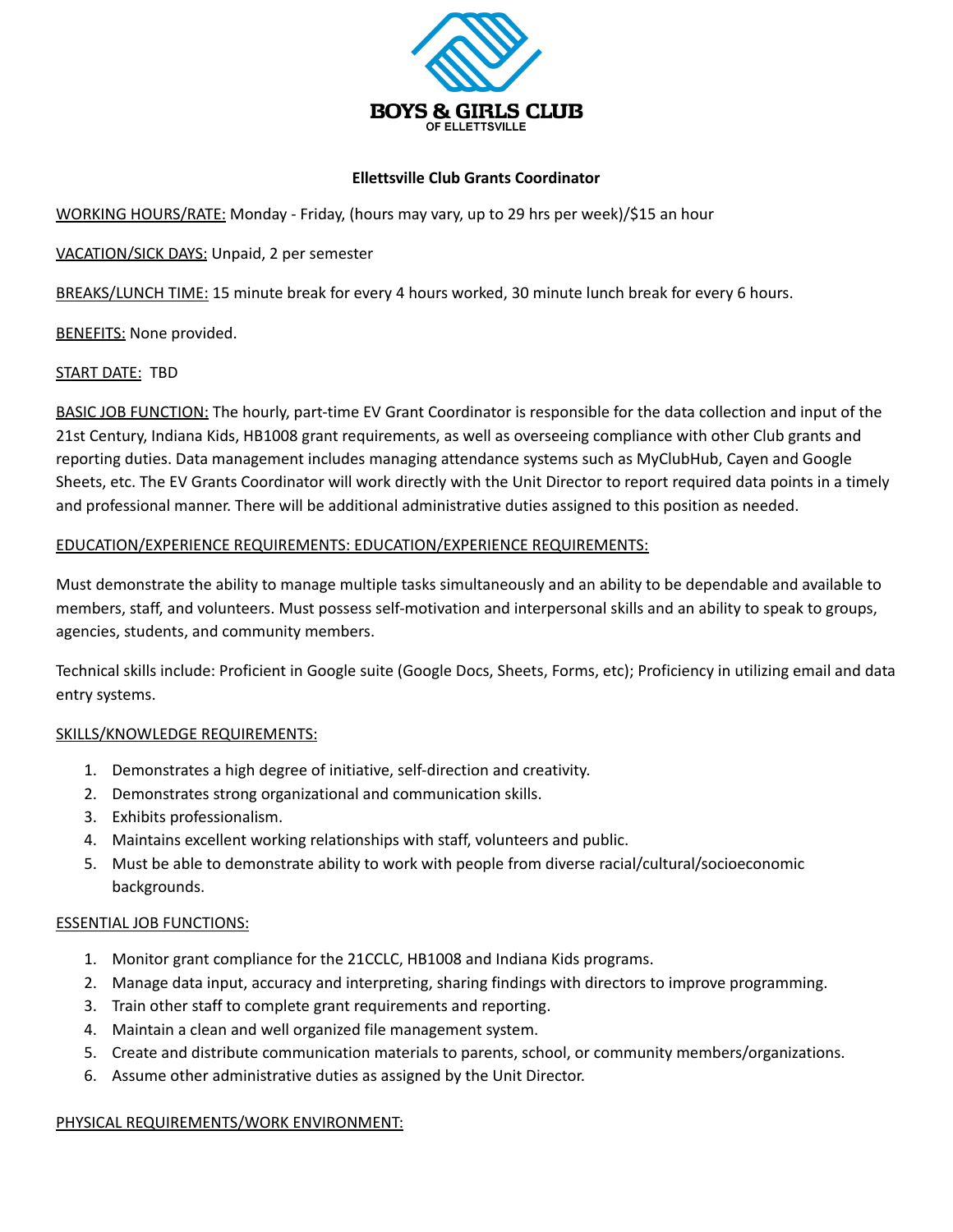

#### **Ellettsville Club Grants Coordinator**

WORKING HOURS/RATE: Monday - Friday, (hours may vary, up to 29 hrs per week)/\$15 an hour

VACATION/SICK DAYS: Unpaid, 2 per semester

BREAKS/LUNCH TIME: 15 minute break for every 4 hours worked, 30 minute lunch break for every 6 hours.

**BENEFITS: None provided.** 

## START DATE: TBD

BASIC JOB FUNCTION: The hourly, part-time EV Grant Coordinator is responsible for the data collection and input of the 21st Century, Indiana Kids, HB1008 grant requirements, as well as overseeing compliance with other Club grants and reporting duties. Data management includes managing attendance systems such as MyClubHub, Cayen and Google Sheets, etc. The EV Grants Coordinator will work directly with the Unit Director to report required data points in a timely and professional manner. There will be additional administrative duties assigned to this position as needed.

## EDUCATION/EXPERIENCE REQUIREMENTS: EDUCATION/EXPERIENCE REQUIREMENTS:

Must demonstrate the ability to manage multiple tasks simultaneously and an ability to be dependable and available to members, staff, and volunteers. Must possess self-motivation and interpersonal skills and an ability to speak to groups, agencies, students, and community members.

Technical skills include: Proficient in Google suite (Google Docs, Sheets, Forms, etc); Proficiency in utilizing email and data entry systems.

## SKILLS/KNOWLEDGE REQUIREMENTS:

- 1. Demonstrates a high degree of initiative, self-direction and creativity.
- 2. Demonstrates strong organizational and communication skills.
- 3. Exhibits professionalism.
- 4. Maintains excellent working relationships with staff, volunteers and public.
- 5. Must be able to demonstrate ability to work with people from diverse racial/cultural/socioeconomic backgrounds.

## ESSENTIAL JOB FUNCTIONS:

- 1. Monitor grant compliance for the 21CCLC, HB1008 and Indiana Kids programs.
- 2. Manage data input, accuracy and interpreting, sharing findings with directors to improve programming.
- 3. Train other staff to complete grant requirements and reporting.
- 4. Maintain a clean and well organized file management system.
- 5. Create and distribute communication materials to parents, school, or community members/organizations.
- 6. Assume other administrative duties as assigned by the Unit Director.

## PHYSICAL REQUIREMENTS/WORK ENVIRONMENT: